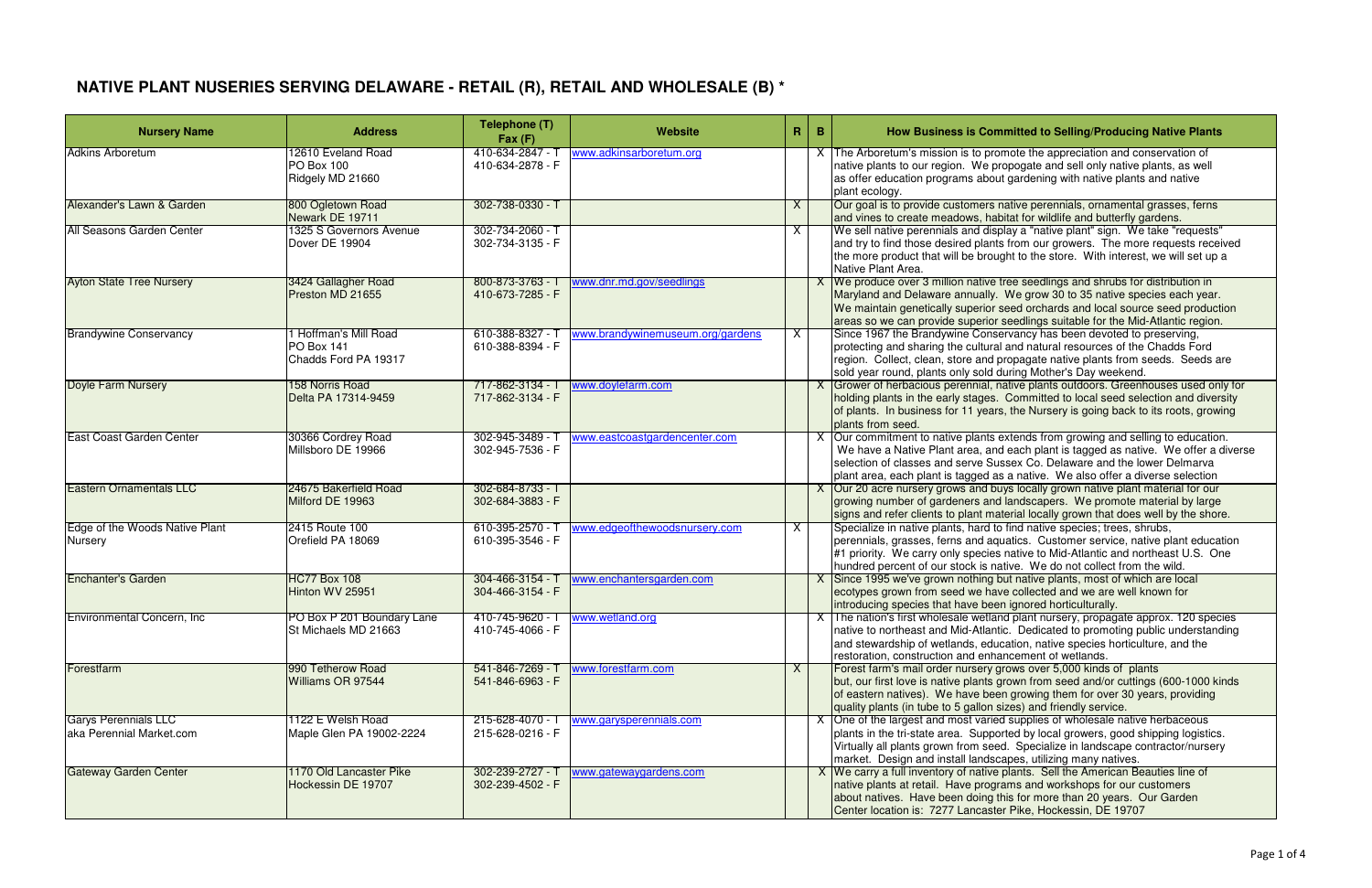| <b>Nursery Name</b>                                     | <b>Address</b>                                              | Telephone (T)<br>Fax(F)                  | Website                          | $\mathbf{R}$ | $\mathbf{B}$ | How Business is Committed to Selling/Producing Native Plants                                                                                                                                                                                                                                                                            |
|---------------------------------------------------------|-------------------------------------------------------------|------------------------------------------|----------------------------------|--------------|--------------|-----------------------------------------------------------------------------------------------------------------------------------------------------------------------------------------------------------------------------------------------------------------------------------------------------------------------------------------|
| <b>Adkins Arboretum</b>                                 | 12610 Eveland Road<br>PO Box 100<br>Ridgely MD 21660        | 410-634-2847 - T<br>410-634-2878 - F     | www.adkinsarboretum.org          |              |              | X The Arboretum's mission is to promote the appreciation and conservation of<br>native plants to our region. We propogate and sell only native plants, as well<br>as offer education programs about gardening with native plants and native<br>plant ecology.                                                                           |
| Alexander's Lawn & Garden                               | 800 Ogletown Road<br>Newark DE 19711                        | 302-738-0330 - T                         |                                  | X            |              | Our goal is to provide customers native perennials, ornamental grasses, ferns<br>and vines to create meadows, habitat for wildlife and butterfly gardens.                                                                                                                                                                               |
| All Seasons Garden Center                               | 1325 S Governors Avenue<br>Dover DE 19904                   | 302-734-2060 - T<br>302-734-3135 - F     |                                  | X            |              | We sell native perennials and display a "native plant" sign. We take "requests"<br>and try to find those desired plants from our growers. The more requests received<br>the more product that will be brought to the store. With interest, we will set up a<br>Native Plant Area.                                                       |
| <b>Ayton State Tree Nursery</b>                         | 3424 Gallagher Road<br>Preston MD 21655                     | 800-873-3763 -<br>410-673-7285 - F       | www.dnr.md.gov/seedlings         |              |              | X We produce over 3 million native tree seedlings and shrubs for distribution in<br>Maryland and Delaware annually. We grow 30 to 35 native species each year.<br>We maintain genetically superior seed orchards and local source seed production<br>areas so we can provide superior seedlings suitable for the Mid-Atlantic region.   |
| <b>Brandywine Conservancy</b>                           | 1 Hoffman's Mill Road<br>PO Box 141<br>Chadds Ford PA 19317 | 610-388-8327 - 1<br>610-388-8394 - F     | www.brandywinemuseum.org/gardens | X            |              | Since 1967 the Brandywine Conservancy has been devoted to preserving,<br>protecting and sharing the cultural and natural resources of the Chadds Ford<br>region. Collect, clean, store and propagate native plants from seeds. Seeds are<br>sold year round, plants only sold during Mother's Day weekend.                              |
| <b>Doyle Farm Nursery</b>                               | 158 Norris Road<br>Delta PA 17314-9459                      | 717-862-3134 - T<br>717-862-3134 - F     | www.doylefarm.com                |              |              | X Grower of herbacious perennial, native plants outdoors. Greenhouses used only for<br>holding plants in the early stages. Committed to local seed selection and diversity<br>of plants. In business for 11 years, the Nursery is going back to its roots, growing<br>plants from seed.                                                 |
| <b>East Coast Garden Center</b>                         | 30366 Cordrey Road<br>Millsboro DE 19966                    | $302 - 945 - 3489 -$<br>302-945-7536 - F | www.eastcoastgardencenter.com    |              |              | X Our commitment to native plants extends from growing and selling to education.<br>We have a Native Plant area, and each plant is tagged as native. We offer a diverse<br>selection of classes and serve Sussex Co. Delaware and the lower Delmarva<br>plant area, each plant is tagged as a native. We also offer a diverse selection |
| <b>Eastern Ornamentals LLC</b>                          | 24675 Bakerfield Road<br>Milford DE 19963                   | 302-684-8733 - T<br>302-684-3883 - F     |                                  |              |              | X Our 20 acre nursery grows and buys locally grown native plant material for our<br>growing number of gardeners and landscapers. We promote material by large<br>signs and refer clients to plant material locally grown that does well by the shore.                                                                                   |
| Edge of the Woods Native Plant<br>Nursery               | 2415 Route 100<br>Orefield PA 18069                         | $610-395-2570 -$<br>610-395-3546 - F     | www.edgeofthewoodsnursery.com    | X            |              | Specialize in native plants, hard to find native species; trees, shrubs,<br>perennials, grasses, ferns and aquatics. Customer service, native plant education<br>#1 priority. We carry only species native to Mid-Atlantic and northeast U.S. One<br>hundred percent of our stock is native. We do not collect from the wild.           |
| <b>Enchanter's Garden</b>                               | <b>HC77 Box 108</b><br>Hinton WV 25951                      | 304-466-3154 - 1<br>304-466-3154 - F     | www.enchantersgarden.com         |              |              | X Since 1995 we've grown nothing but native plants, most of which are local<br>ecotypes grown from seed we have collected and we are well known for<br>introducing species that have been ignored horticulturally.                                                                                                                      |
| Environmental Concern, Inc.                             | PO Box P 201 Boundary Lane<br>St Michaels MD 21663          | 410-745-9620 - T<br>410-745-4066 - F     | www.wetland.org                  |              |              | X The nation's first wholesale wetland plant nursery, propagate approx. 120 species<br>native to northeast and Mid-Atlantic. Dedicated to promoting public understanding<br>and stewardship of wetlands, education, native species horticulture, and the<br>restoration, construction and enhancement of wetlands.                      |
| Forestfarm                                              | 990 Tetherow Road<br>Williams OR 97544                      | 541-846-7269 - T<br>541-846-6963 - F     | www.forestfarm.com               | X            |              | Forest farm's mail order nursery grows over 5,000 kinds of plants<br>but, our first love is native plants grown from seed and/or cuttings (600-1000 kinds<br>of eastern natives). We have been growing them for over 30 years, providing<br>quality plants (in tube to 5 gallon sizes) and friendly service.                            |
| <b>Garys Perennials LLC</b><br>aka Perennial Market.com | 1122 E Welsh Road<br>Maple Glen PA 19002-2224               | 215-628-4070 - 1<br>215-628-0216 - F     | www.garysperennials.com          |              |              | X One of the largest and most varied supplies of wholesale native herbaceous<br>plants in the tri-state area. Supported by local growers, good shipping logistics.<br>Virtually all plants grown from seed. Specialize in landscape contractor/nursery<br>market. Design and install landscapes, utilizing many natives.                |
| <b>Gateway Garden Center</b>                            | 1170 Old Lancaster Pike<br>Hockessin DE 19707               | 302-239-2727 - 1<br>302-239-4502 - F     | www.gatewaygardens.com           |              |              | X We carry a full inventory of native plants. Sell the American Beauties line of<br>native plants at retail. Have programs and workshops for our customers<br>about natives. Have been doing this for more than 20 years. Our Garden<br>Center location is: 7277 Lancaster Pike, Hockessin, DE 19707                                    |

# **NATIVE PLANT NUSERIES SERVING DELAWARE - RETAIL (R), RETAIL AND WHOLESALE (B) \***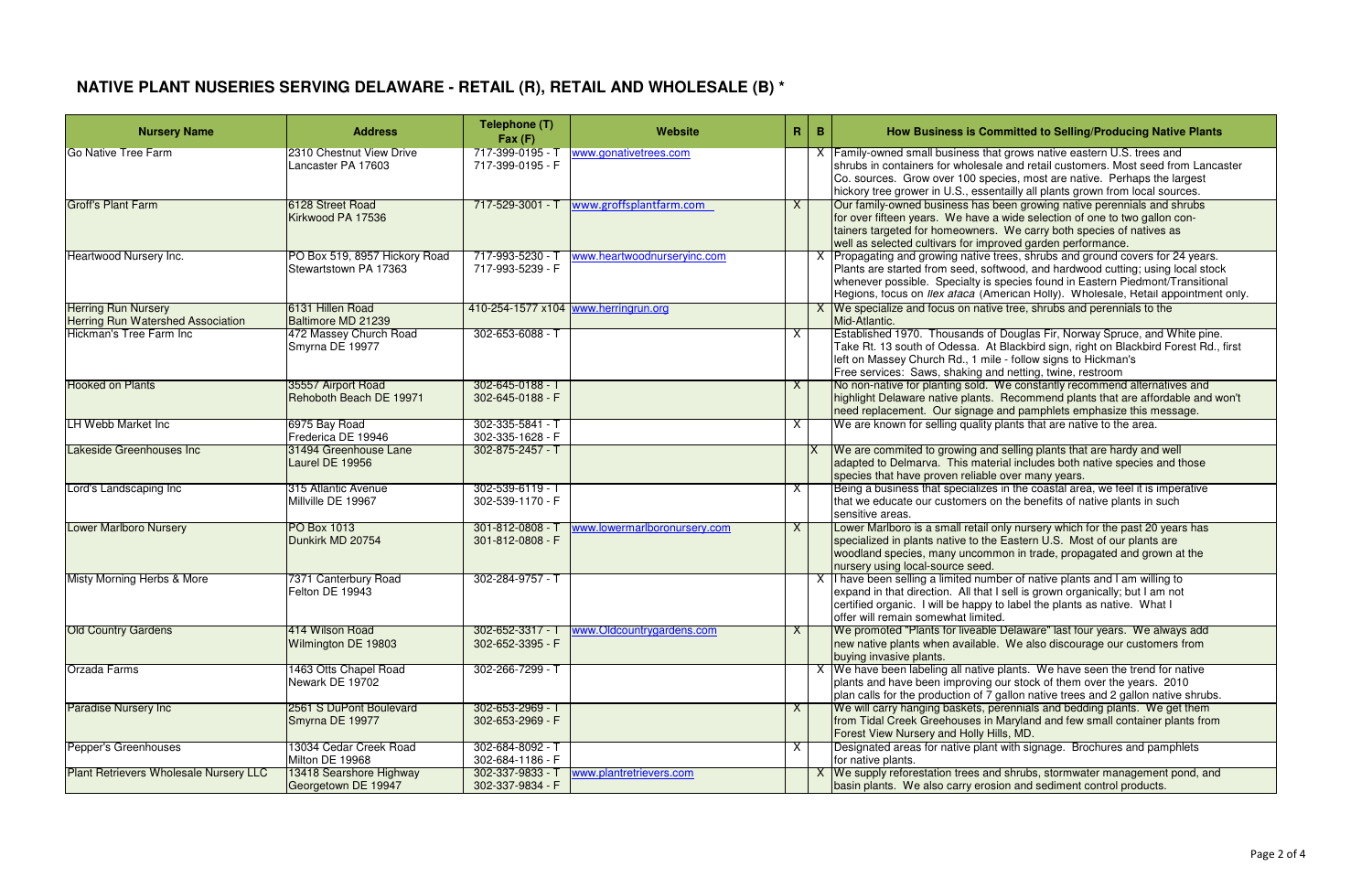# **NATIVE PLANT NUSERIES SERVING DELAWARE - RETAIL (R), RETAIL AND WHOLESALE (B) \***

| <b>Nursery Name</b>                                                    | <b>Address</b>                                         | Telephone (T)<br>Fax(F)                  | <b>Website</b>                       | R  | $\mathbf{B}$ | How Business is Committed to Selling/Producing Native Plants                                                                                                                                                                                                                                                                            |
|------------------------------------------------------------------------|--------------------------------------------------------|------------------------------------------|--------------------------------------|----|--------------|-----------------------------------------------------------------------------------------------------------------------------------------------------------------------------------------------------------------------------------------------------------------------------------------------------------------------------------------|
| <b>Go Native Tree Farm</b>                                             | 2310 Chestnut View Drive<br>Lancaster PA 17603         | 717-399-0195 - 1<br>717-399-0195 - F     | www.gonativetrees.com                |    |              | <b>Family-owned small business that grows native eastern U.S. trees and</b><br>shrubs in containers for wholesale and retail customers. Most seed from Lancaster<br>Co. sources. Grow over 100 species, most are native. Perhaps the largest<br>hickory tree grower in U.S., essentailly all plants grown from local sources.           |
| <b>Groff's Plant Farm</b>                                              | 6128 Street Road<br>Kirkwood PA 17536                  | 717-529-3001 - T                         | www.groffsplantfarm.com              | X  |              | Our family-owned business has been growing native perennials and shrubs<br>for over fifteen years. We have a wide selection of one to two gallon con-<br>tainers targeted for homeowners. We carry both species of natives as<br>well as selected cultivars for improved garden performance.                                            |
| <b>Heartwood Nursery Inc.</b>                                          | PO Box 519, 8957 Hickory Road<br>Stewartstown PA 17363 | 717-993-5230 - T<br>717-993-5239 - F     | www.heartwoodnurseryinc.com          |    |              | Propagating and growing native trees, shrubs and ground covers for 24 years.<br>Plants are started from seed, softwood, and hardwood cutting; using local stock<br>whenever possible. Specialty is species found in Eastern Piedmont/Transitional<br>Regions, focus on Ilex afaca (American Holly). Wholesale, Retail appointment only. |
| <b>Herring Run Nursery</b><br><b>Herring Run Watershed Association</b> | 6131 Hillen Road<br>Baltimore MD 21239                 |                                          | 410-254-1577 x104 www.herringrun.org |    |              | X We specialize and focus on native tree, shrubs and perennials to the<br>Mid-Atlantic.                                                                                                                                                                                                                                                 |
| Hickman's Tree Farm Inc                                                | 472 Massey Church Road<br>Smyrna DE 19977              | 302-653-6088 - T                         |                                      | X. |              | Established 1970. Thousands of Douglas Fir, Norway Spruce, and White pine.<br>Take Rt. 13 south of Odessa. At Blackbird sign, right on Blackbird Forest Rd., first<br>left on Massey Church Rd., 1 mile - follow signs to Hickman's<br>Free services: Saws, shaking and netting, twine, restroom                                        |
| <b>Hooked on Plants</b>                                                | 35557 Airport Road<br>Rehoboth Beach DE 19971          | 302-645-0188 - 7<br>302-645-0188 - F     |                                      | X  |              | No non-native for planting sold. We constantly recommend alternatives and<br>highlight Delaware native plants. Recommend plants that are affordable and won't<br>need replacement. Our signage and pamphlets emphasize this message.                                                                                                    |
| <b>LH Webb Market Inc</b>                                              | 6975 Bay Road<br>Frederica DE 19946                    | 302-335-5841 - T<br>302-335-1628 - F     |                                      | X. |              | We are known for selling quality plants that are native to the area.                                                                                                                                                                                                                                                                    |
| Lakeside Greenhouses Inc                                               | 31494 Greenhouse Lane<br>Laurel DE 19956               | 302-875-2457 - T                         |                                      |    |              | We are commited to growing and selling plants that are hardy and well<br>adapted to Delmarva. This material includes both native species and those<br>species that have proven reliable over many years.                                                                                                                                |
| Lord's Landscaping Inc                                                 | 315 Atlantic Avenue<br>Millville DE 19967              | 302-539-6119 - T<br>302-539-1170 - F     |                                      | X  |              | Being a business that specializes in the coastal area, we feel it is imperative<br>that we educate our customers on the benefits of native plants in such<br>sensitive areas.                                                                                                                                                           |
| <b>Lower Marlboro Nursery</b>                                          | PO Box 1013<br>Dunkirk MD 20754                        | $301 - 812 - 0808 -$<br>301-812-0808 - F | www.lowermarlboronursery.com         | X  |              | Lower Marlboro is a small retail only nursery which for the past 20 years has<br>specialized in plants native to the Eastern U.S. Most of our plants are<br>woodland species, many uncommon in trade, propagated and grown at the<br>nursery using local-source seed.                                                                   |
| Misty Morning Herbs & More                                             | 7371 Canterbury Road<br>Felton DE 19943                | 302-284-9757 - T                         |                                      |    |              | I have been selling a limited number of native plants and I am willing to<br>expand in that direction. All that I sell is grown organically; but I am not<br>certified organic. I will be happy to label the plants as native. What I<br>offer will remain somewhat limited.                                                            |
| <b>Old Country Gardens</b>                                             | 414 Wilson Road<br>Wilmington DE 19803                 | 302-652-3317 - T<br>302-652-3395 - F     | www.Oldcountrygardens.com            | X  |              | We promoted "Plants for liveable Delaware" last four years. We always add<br>new native plants when available. We also discourage our customers from<br>buying invasive plants.                                                                                                                                                         |
| Orzada Farms                                                           | 1463 Otts Chapel Road<br>Newark DE 19702               | 302-266-7299 - T                         |                                      |    |              | X We have been labeling all native plants. We have seen the trend for native<br>plants and have been improving our stock of them over the years. 2010<br>plan calls for the production of 7 gallon native trees and 2 gallon native shrubs.                                                                                             |
| <b>Paradise Nursery Inc</b>                                            | 2561 S DuPont Boulevard<br>Smyrna DE 19977             | 302-653-2969 - T<br>302-653-2969 - F     |                                      | X  |              | We will carry hanging baskets, perennials and bedding plants. We get them<br>from Tidal Creek Greehouses in Maryland and few small container plants from<br>Forest View Nursery and Holly Hills, MD.                                                                                                                                    |
| Pepper's Greenhouses                                                   | 13034 Cedar Creek Road<br>Milton DE 19968              | 302-684-8092 - T<br>302-684-1186 - F     |                                      | X. |              | Designated areas for native plant with signage. Brochures and pamphlets<br>for native plants.                                                                                                                                                                                                                                           |
| <b>Plant Retrievers Wholesale Nursery LLC</b>                          | 13418 Searshore Highway<br>Georgetown DE 19947         | 302-337-9833 - T<br>302-337-9834 - F     | www.plantretrievers.com              |    |              | X We supply reforestation trees and shrubs, stormwater management pond, and<br>basin plants. We also carry erosion and sediment control products.                                                                                                                                                                                       |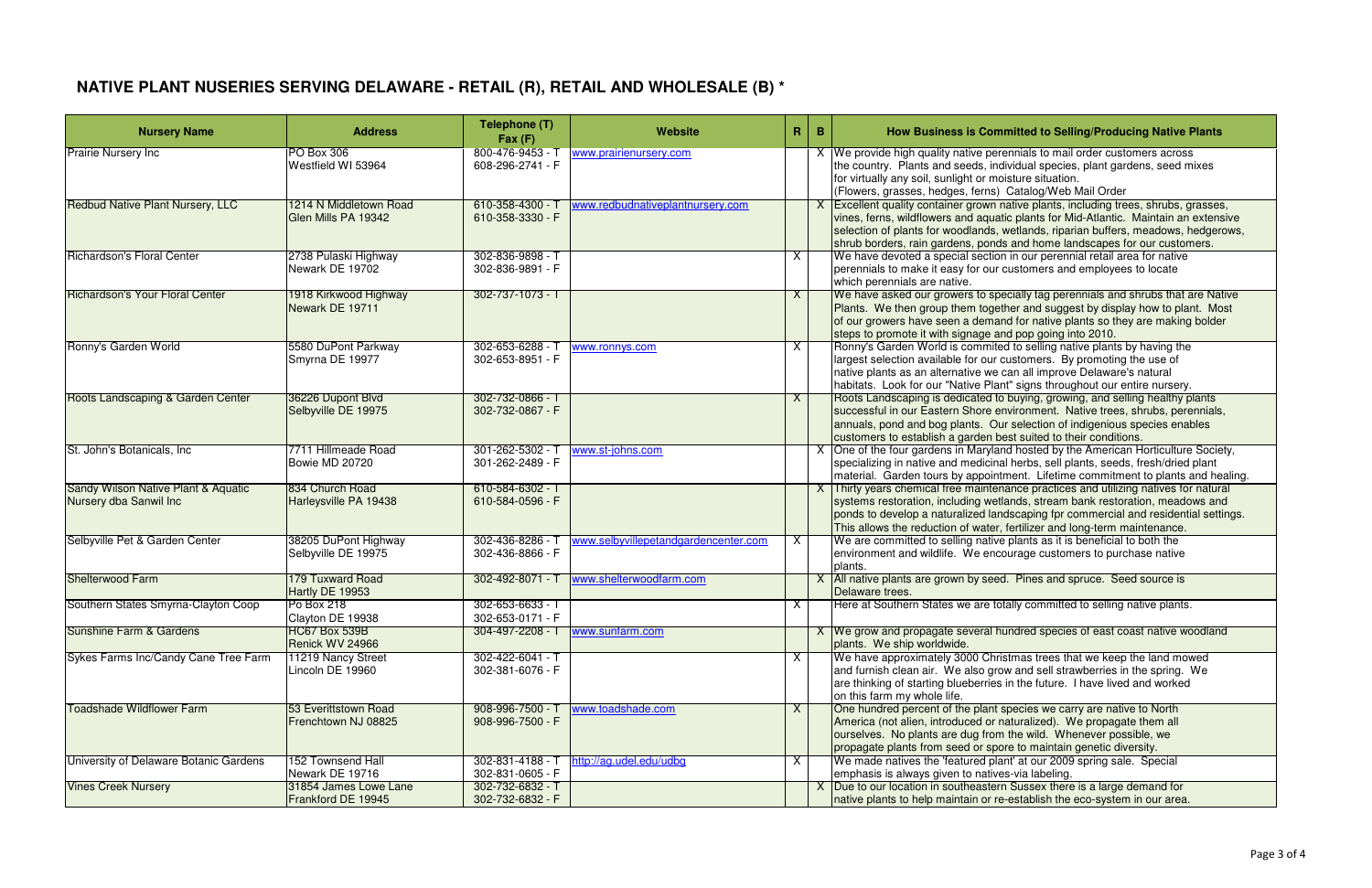# **NATIVE PLANT NUSERIES SERVING DELAWARE - RETAIL (R), RETAIL AND WHOLESALE (B) \***

| <b>Nursery Name</b>                                           | <b>Address</b>                                | Telephone (T)<br>Fax(F)                    | Website                              | R        | $\mathbf B$ | How Business is Committed to Selling/Producing Native Plants                                                                                                                                                                                                                                                                                  |
|---------------------------------------------------------------|-----------------------------------------------|--------------------------------------------|--------------------------------------|----------|-------------|-----------------------------------------------------------------------------------------------------------------------------------------------------------------------------------------------------------------------------------------------------------------------------------------------------------------------------------------------|
| <b>Prairie Nursery Inc</b>                                    | PO Box 306<br>Westfield WI 53964              | 800-476-9453 - T<br>608-296-2741 - F       | www.prairienursery.com               |          |             | We provide high quality native perennials to mail order customers across<br>the country. Plants and seeds, individual species, plant gardens, seed mixes<br>for virtually any soil, sunlight or moisture situation.<br>(Flowers, grasses, hedges, ferns) Catalog/Web Mail Order                                                               |
| <b>Redbud Native Plant Nursery, LLC</b>                       | 1214 N Middletown Road<br>Glen Mills PA 19342 | 610-358-4300 - T<br>610-358-3330 - F       | www.redbudnativeplantnursery.com     |          |             | Excellent quality container grown native plants, including trees, shrubs, grasses,<br>vines, ferns, wildflowers and aquatic plants for Mid-Atlantic. Maintain an extensive<br>selection of plants for woodlands, wetlands, riparian buffers, meadows, hedgerows,<br>shrub borders, rain gardens, ponds and home landscapes for our customers. |
| Richardson's Floral Center                                    | 2738 Pulaski Highway<br>Newark DE 19702       | 302-836-9898 - T<br>302-836-9891 - F       |                                      | X.       |             | We have devoted a special section in our perennial retail area for native<br>perennials to make it easy for our customers and employees to locate<br>which perennials are native.                                                                                                                                                             |
| <b>Richardson's Your Floral Center</b>                        | 1918 Kirkwood Highway<br>Newark DE 19711      | 302-737-1073 - T                           |                                      | X        |             | We have asked our growers to specially tag perennials and shrubs that are Native<br>Plants. We then group them together and suggest by display how to plant. Most<br>of our growers have seen a demand for native plants so they are making bolder<br>steps to promote it with signage and pop going into 2010.                               |
| Ronny's Garden World                                          | 5580 DuPont Parkway<br>Smyrna DE 19977        | 302-653-6288 - T<br>302-653-8951 - F       | www.ronnys.com                       | X.       |             | Ronny's Garden World is commited to selling native plants by having the<br>largest selection available for our customers. By promoting the use of<br>native plants as an alternative we can all improve Delaware's natural<br>habitats. Look for our "Native Plant" signs throughout our entire nursery.                                      |
| Roots Landscaping & Garden Center                             | 36226 Dupont Blvd<br>Selbyville DE 19975      | 302-732-0866 - T<br>302-732-0867 - F       |                                      | X.       |             | Roots Landscaping is dedicated to buying, growing, and selling healthy plants<br>successful in our Eastern Shore environment. Native trees, shrubs, perennials,<br>annuals, pond and bog plants. Our selection of indigenious species enables<br>customers to establish a garden best suited to their conditions.                             |
| St. John's Botanicals, Inc.                                   | 7711 Hillmeade Road<br>Bowie MD 20720         | 301-262-5302 - T<br>301-262-2489 - F       | www.st-johns.com                     |          |             | X One of the four gardens in Maryland hosted by the American Horticulture Society,<br>specializing in native and medicinal herbs, sell plants, seeds, fresh/dried plant<br>material. Garden tours by appointment. Lifetime commitment to plants and healing.                                                                                  |
| Sandy Wilson Native Plant & Aquatic<br>Nursery dba Sanwil Inc | 834 Church Road<br>Harleysville PA 19438      | 610-584-6302 - T<br>610-584-0596 - F       |                                      |          |             | Thirty years chemical free maintenance practices and utilizing natives for natural<br>systems restoration, including wetlands, stream bank restoration, meadows and<br>ponds to develop a naturalized landscaping fpr commercial and residential settings.<br>This allows the reduction of water, fertilizer and long-term maintenance.       |
| Selbyville Pet & Garden Center                                | 38205 DuPont Highway<br>Selbyville DE 19975   | 302-436-8286 - T<br>302-436-8866 - F       | www.selbyvillepetandgardencenter.com | X        |             | We are committed to selling native plants as it is beneficial to both the<br>environment and wildlife. We encourage customers to purchase native<br>plants.                                                                                                                                                                                   |
| <b>Shelterwood Farm</b>                                       | 179 Tuxward Road<br>Hartly DE 19953           | 302-492-8071 - T                           | www.shelterwoodfarm.com              |          |             | All native plants are grown by seed. Pines and spruce. Seed source is<br>Delaware trees.                                                                                                                                                                                                                                                      |
| Southern States Smyrna-Clayton Coop                           | Po Box 218<br>Clayton DE 19938                | 302-653-6633 - T<br>302-653-0171 - F       | 304-497-2208 - T www.sunfarm.com     | $\times$ |             | Here at Southern States we are totally committed to selling native plants.                                                                                                                                                                                                                                                                    |
| Sunshine Farm & Gardens                                       | HC67 Box 539B<br>Renick WV 24966              |                                            |                                      |          |             | X We grow and propagate several hundred species of east coast native woodland<br>plants. We ship worldwide.                                                                                                                                                                                                                                   |
| Sykes Farms Inc/Candy Cane Tree Farm                          | 11219 Nancy Street<br>Lincoln DE 19960        | $302 - 422 - 6041 - T$<br>302-381-6076 - F |                                      | X.       |             | We have approximately 3000 Christmas trees that we keep the land mowed<br>and furnish clean air. We also grow and sell strawberries in the spring. We<br>are thinking of starting blueberries in the future. I have lived and worked<br>on this farm my whole life.                                                                           |
| <b>Toadshade Wildflower Farm</b>                              | 53 Everittstown Road<br>Frenchtown NJ 08825   | 908-996-7500 - T<br>908-996-7500 - F       | www.toadshade.com                    | X.       |             | One hundred percent of the plant species we carry are native to North<br>America (not alien, introduced or naturalized). We propagate them all<br>ourselves. No plants are dug from the wild. Whenever possible, we<br>propagate plants from seed or spore to maintain genetic diversity.                                                     |
| University of Delaware Botanic Gardens                        | 152 Townsend Hall<br>Newark DE 19716          | 302-831-4188 - T<br>302-831-0605 - F       | http://ag.udel.edu/udbg              | X.       |             | We made natives the 'featured plant' at our 2009 spring sale. Special<br>emphasis is always given to natives-via labeling.                                                                                                                                                                                                                    |
| <b>Vines Creek Nursery</b>                                    | 31854 James Lowe Lane<br>Frankford DE 19945   | 302-732-6832 - T<br>302-732-6832 - F       |                                      |          |             | X Due to our location in southeastern Sussex there is a large demand for<br>native plants to help maintain or re-establish the eco-system in our area.                                                                                                                                                                                        |